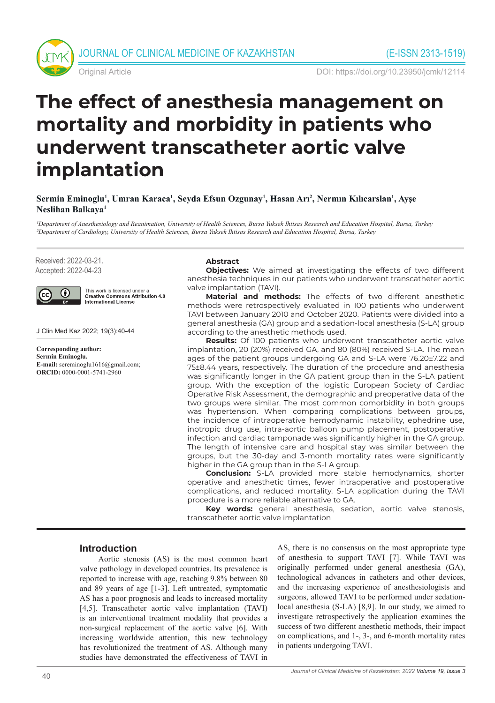



Original Article DOI: https://doi.org/10.23950/jcmk/12114

# **The effect of anesthesia management on mortality and morbidity in patients who underwent transcatheter aortic valve implantation**

**Sermin Eminoglu1 , Umran Karaca1 , Seyda Efsun Ozgunay1 , Hasan Arı<sup>2</sup> , Nermın Kılıcarslan<sup>1</sup> , Ayşe Neslihan Balkaya1**

*1Department of Anesthesiology and Reanimation, University of Health Sciences, Bursa Yuksek Ihtisas Research and Education Hospital, Bursa, Turkey 2Department of Cardiology, University of Health Sciences, Bursa Yuksek Ihtisas Research and Education Hospital, Bursa, Turkey*

Received: 2022-03-21. Accepted: 2022-04-23



This work is licensed under a **Creative Commons Attribution 4.0 International License** 

J Clin Med Kaz 2022; 19(3):40-44

**Corresponding author: Sermin Eminoglu. E-mail:** sereminoglu1616@gmail.com; **ORCID:** 0000-0001-5741-2960

#### **Abstract**

**Objectives:** We aimed at investigating the effects of two different anesthesia techniques in our patients who underwent transcatheter aortic valve implantation (TAVI).

**Material and methods:** The effects of two different anesthetic methods were retrospectively evaluated in 100 patients who underwent TAVI between January 2010 and October 2020. Patients were divided into a general anesthesia (GA) group and a sedation-local anesthesia (S-LA) group according to the anesthetic methods used.

**Results:** Of 100 patients who underwent transcatheter aortic valve implantation, 20 (20%) received GA, and 80 (80%) received S-LA. The mean ages of the patient groups undergoing GA and S-LA were 76.20±7.22 and 75±8.44 years, respectively. The duration of the procedure and anesthesia was significantly longer in the GA patient group than in the S-LA patient group. With the exception of the logistic European Society of Cardiac Operative Risk Assessment, the demographic and preoperative data of the two groups were similar. The most common comorbidity in both groups was hypertension. When comparing complications between groups, the incidence of intraoperative hemodynamic instability, ephedrine use, inotropic drug use, intra-aortic balloon pump placement, postoperative infection and cardiac tamponade was significantly higher in the GA group. The length of intensive care and hospital stay was similar between the groups, but the 30-day and 3-month mortality rates were significantly higher in the GA group than in the S-LA group.

**Conclusion:** S-LA provided more stable hemodynamics, shorter operative and anesthetic times, fewer intraoperative and postoperative complications, and reduced mortality. S-LA application during the TAVI procedure is a more reliable alternative to GA.

**Key words:** general anesthesia, sedation, aortic valve stenosis, transcatheter aortic valve implantation

## **Introduction**

Aortic stenosis (AS) is the most common heart valve pathology in developed countries. Its prevalence is reported to increase with age, reaching 9.8% between 80 and 89 years of age [1-3]. Left untreated, symptomatic AS has a poor prognosis and leads to increased mortality [4,5]. Transcatheter aortic valve implantation (TAVI) is an interventional treatment modality that provides a non-surgical replacement of the aortic valve [6]. With increasing worldwide attention, this new technology has revolutionized the treatment of AS. Although many studies have demonstrated the effectiveness of TAVI in

AS, there is no consensus on the most appropriate type of anesthesia to support TAVI [7]. While TAVI was originally performed under general anesthesia (GA), technological advances in catheters and other devices, and the increasing experience of anesthesiologists and surgeons, allowed TAVI to be performed under sedationlocal anesthesia (S-LA) [8,9]. In our study, we aimed to investigate retrospectively the application examines the success of two different anesthetic methods, their impact on complications, and 1-, 3-, and 6-month mortality rates in patients undergoing TAVI.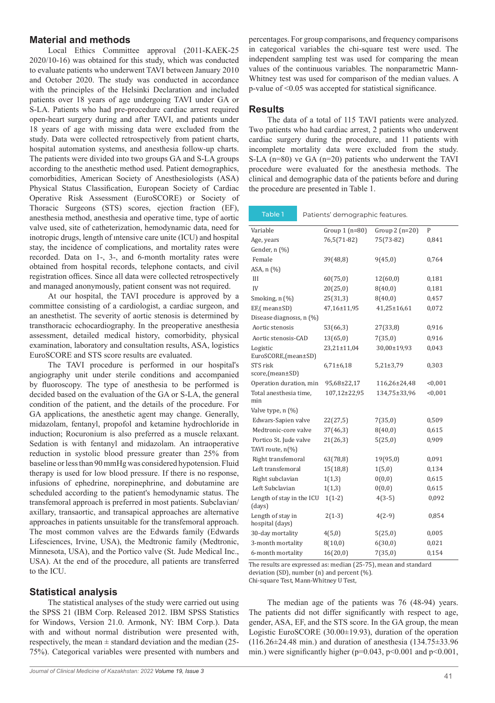## **Material and methods**

Local Ethics Committee approval (2011-KAEK-25 2020/10-16) was obtained for this study, which was conducted to evaluate patients who underwent TAVI between January 2010 and October 2020. The study was conducted in accordance with the principles of the Helsinki Declaration and included patients over 18 years of age undergoing TAVI under GA or S-LA. Patients who had pre-procedure cardiac arrest required open-heart surgery during and after TAVI, and patients under 18 years of age with missing data were excluded from the study. Data were collected retrospectively from patient charts, hospital automation systems, and anesthesia follow-up charts. The patients were divided into two groups GA and S-LA groups according to the anesthetic method used. Patient demographics, comorbidities, American Society of Anesthesiologists (ASA) Physical Status Classification, European Society of Cardiac Operative Risk Assessment (EuroSCORE) or Society of Thoracic Surgeons (STS) scores, ejection fraction (EF), anesthesia method, anesthesia and operative time, type of aortic valve used, site of catheterization, hemodynamic data, need for inotropic drugs, length of ıntensive care unite (ICU) and hospital stay, the incidence of complications, and mortality rates were recorded. Data on 1-, 3-, and 6-month mortality rates were obtained from hospital records, telephone contacts, and civil registration offices. Since all data were collected retrospectively and managed anonymously, patient consent was not required.

At our hospital, the TAVI procedure is approved by a committee consisting of a cardiologist, a cardiac surgeon, and an anesthetist. The severity of aortic stenosis is determined by transthoracic echocardiography. In the preoperative anesthesia assessment, detailed medical history, comorbidity, physical examination, laboratory and consultation results, ASA, logistics EuroSCORE and STS score results are evaluated.

The TAVI procedure is performed in our hospital's angiography unit under sterile conditions and accompanied by fluoroscopy. The type of anesthesia to be performed is decided based on the evaluation of the GA or S-LA, the general condition of the patient, and the details of the procedure. For GA applications, the anesthetic agent may change. Generally, midazolam, fentanyl, propofol and ketamine hydrochloride in induction; Rocuronium is also preferred as a muscle relaxant. Sedation is with fentanyl and midazolam. An intraoperative reduction in systolic blood pressure greater than 25% from baseline or less than 90 mmHg was considered hypotension. Fluid therapy is used for low blood pressure. If there is no response, infusions of ephedrine, norepinephrine, and dobutamine are scheduled according to the patient's hemodynamic status. The transfemoral approach is preferred in most patients. Subclavian/ axillary, transaortic, and transapical approaches are alternative approaches in patients unsuitable for the transfemoral approach. The most common valves are the Edwards family (Edwards Lifesciences, Irvine, USA), the Medtronic family (Medtronic, Minnesota, USA), and the Portico valve (St. Jude Medical Inc., USA). At the end of the procedure, all patients are transferred to the ICU.

## **Statistical analysis**

The statistical analyses of the study were carried out using the SPSS 21 (IBM Corp. Released 2012. IBM SPSS Statistics for Windows, Version 21.0. Armonk, NY: IBM Corp.). Data with and without normal distribution were presented with, respectively, the mean  $\pm$  standard deviation and the median (25-75%). Categorical variables were presented with numbers and

percentages. For group comparisons, and frequency comparisons in categorical variables the chi-square test were used. The independent sampling test was used for comparing the mean values of the continuous variables. The nonparametric Mann-Whitney test was used for comparison of the median values. A p-value of <0.05 was accepted for statistical significance.

#### **Results**

The data of a total of 115 TAVI patients were analyzed. Two patients who had cardiac arrest, 2 patients who underwent cardiac surgery during the procedure, and 11 patients with incomplete mortality data were excluded from the study. S-LA (n=80) ve GA (n=20) patients who underwent the TAVI procedure were evaluated for the anesthesia methods. The clinical and demographic data of the patients before and during the procedure are presented in Table 1.

| Table 1<br>Patients' demographic features. |                 |                   |         |  |  |
|--------------------------------------------|-----------------|-------------------|---------|--|--|
| Variable                                   | Group 1 (n=80)  | Group $2(n=20)$   | P       |  |  |
| Age, years                                 | 76,5(71-82)     | 75(73-82)         | 0,841   |  |  |
| Gender, n (%)                              |                 |                   |         |  |  |
| Female                                     | 39(48,8)        | 9(45,0)           | 0,764   |  |  |
| ASA, n (%)                                 |                 |                   |         |  |  |
| III                                        | 60(75,0)        | 12(60,0)          | 0,181   |  |  |
| IV                                         | 20(25,0)        | 8(40,0)           | 0,181   |  |  |
| Smoking, n (%)                             | 25(31,3)        | 8(40,0)           | 0,457   |  |  |
| EF,(mean±SD)                               | 47,16±11,95     | $41,25 \pm 16,61$ | 0,072   |  |  |
| Disease diagnosis, n (%)                   |                 |                   |         |  |  |
| Aortic stenosis                            | 53(66,3)        | 27(33,8)          | 0,916   |  |  |
| Aortic stenosis-CAD                        | 13(65,0)        | 7(35,0)           | 0,916   |  |  |
| Logistic                                   | 23,21±11,04     | 30,00±19,93       | 0,043   |  |  |
| EuroSCORE,(mean±SD)                        |                 |                   |         |  |  |
| STS risk                                   | $6,71 \pm 6,18$ | $5,21\pm3,79$     | 0,303   |  |  |
| score,(mean±SD)                            |                 |                   |         |  |  |
| Operation duration, min                    | 95,68±22,17     | 116,26±24,48      | < 0.001 |  |  |
| Total anesthesia time,<br>min              | 107,12±22,95    | 134,75±33,96      | < 0,001 |  |  |
| Valve type, n (%)                          |                 |                   |         |  |  |
| Edwars-Sapien valve                        | 22(27,5)        | 7(35,0)           | 0,509   |  |  |
| Medtronic-core valve                       | 37(46,3)        | 8(40,0)           | 0,615   |  |  |
| Portico St. Jude valve                     | 21(26,3)        | 5(25,0)           | 0,909   |  |  |
| TAVI route, n(%)                           |                 |                   |         |  |  |
| Right transfemoral                         | 63(78,8)        | 19(95,0)          | 0,091   |  |  |
| Left transfemoral                          | 15(18,8)        | 1(5,0)            | 0,134   |  |  |
| Right subclavian                           | 1(1,3)          | 0(0,0)            | 0,615   |  |  |
| Left Subclavian                            | 1(1,3)          | 0(0,0)            | 0,615   |  |  |
| Length of stay in the ICU<br>(days)        | $1(1-2)$        | $4(3-5)$          | 0,092   |  |  |
| Length of stay in<br>hospital (days)       | $2(1-3)$        | $4(2-9)$          | 0,854   |  |  |
| 30-day mortality                           | 4(5,0)          | 5(25,0)           | 0,005   |  |  |
| 3-month mortality                          | 8(10,0)         | 6(30,0)           | 0,021   |  |  |
| 6-month mortality                          | 16(20,0)        | 7(35,0)           | 0,154   |  |  |

The results are expressed as: median (25-75), mean and standard deviation (SD), number (n) and percent (%).

Chi-square Test, Mann-Whitney U Test,

The median age of the patients was 76 (48-94) years. The patients did not differ significantly with respect to age, gender, ASA, EF, and the STS score. In the GA group, the mean Logistic EuroSCORE (30.00±19.93), duration of the operation (116.26±24.48 min.) and duration of anesthesia (134.75±33.96 min.) were significantly higher ( $p=0.043$ ,  $p<0.001$  and  $p<0.001$ ,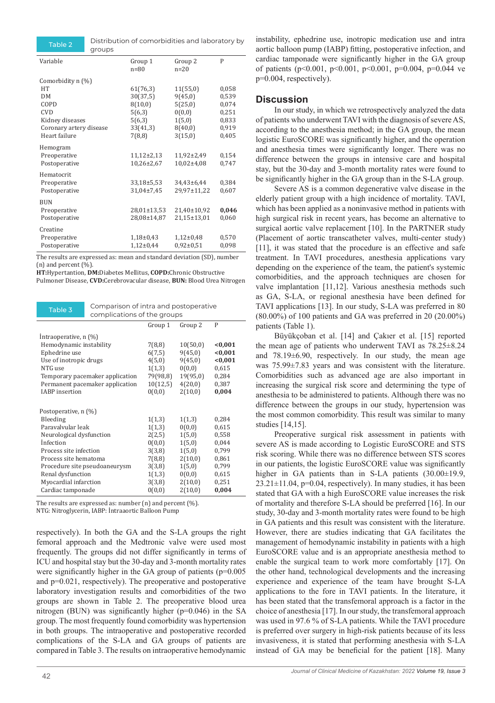Table 2 Distribution of comorbidities and laboratory by groups

| Variable                                                                                                           | Group 1<br>$n = 80$                                                       | Group 2<br>$n = 20$                                                      | P                                                           |
|--------------------------------------------------------------------------------------------------------------------|---------------------------------------------------------------------------|--------------------------------------------------------------------------|-------------------------------------------------------------|
| Comorbidity n (%)<br>HT<br>DМ<br>COPD<br><b>CVD</b><br>Kidney diseases<br>Coronary artery disease<br>Heart failure | 61(76,3)<br>30(37,5)<br>8(10,0)<br>5(6,3)<br>5(6,3)<br>33(41,3)<br>7(8,8) | 11(55,0)<br>9(45,0)<br>5(25,0)<br>0(0,0)<br>1(5,0)<br>8(40,0)<br>3(15,0) | 0,058<br>0,539<br>0,074<br>0,251<br>0,833<br>0,919<br>0,405 |
| Hemogram<br>Preoperative<br>Postoperative                                                                          | $11,12\pm2,13$<br>$10,26\pm2,67$                                          | $11,92\pm2,49$<br>$10,02{\pm}4,08$                                       | 0,154<br>0,747                                              |
| Hematocrit<br>Preoperative<br>Postoperative                                                                        | 33,18±5,53<br>31,04±7,45                                                  | 34,43±6,44<br>29,97±11,22                                                | 0,384<br>0,607                                              |
| <b>BUN</b><br>Preoperative<br>Postoperative                                                                        | 28,01±13,53<br>28,08±14,87                                                | 21,40±10,92<br>21,15±13,01                                               | 0,046<br>0,060                                              |
| Creatine<br>Preoperative<br>Postoperative                                                                          | $1,18\pm0,43$<br>$1,12\pm0,44$                                            | $1,12\pm0,48$<br>$0.92 \pm 0.51$                                         | 0,570<br>0,098                                              |

The results are expressed as: mean and standard deviation (SD), number (n) and percent  $(\% )$ .

**HT:**Hypertantion, **DM:**Diabetes Mellitus, **COPD:**Chronic Obstructive

Pulmoner Disease, **CVD:**Cerebrovacular disease, **BUN:** Blood Urea Nitrogen



|                                 | Group 1  | Group 2  | P       |
|---------------------------------|----------|----------|---------|
| Intraoperative, n (%)           |          |          |         |
| Hemodynamic instability         | 7(8,8)   | 10(50,0) | < 0.001 |
| Ephedrine use                   | 6(7,5)   | 9(45,0)  | < 0.001 |
| Use of inotropic drugs          | 4(5,0)   | 9(45,0)  | < 0.001 |
| NTG use                         | 1(1,3)   | 0(0,0)   | 0,615   |
| Temporary pacemaker application | 79(98,8) | 19(95,0) | 0,284   |
| Permanent pacemaker application | 10(12,5) | 4(20,0)  | 0,387   |
| <b>IABP</b> insertion           | 0(0,0)   | 2(10,0)  | 0,004   |
|                                 |          |          |         |
| Postoperative, n (%)            |          |          |         |
| Bleeding                        | 1(1,3)   | 1(1,3)   | 0,284   |
| Paravalvular leak               | 1(1,3)   | 0(0,0)   | 0,615   |
| Neurological dysfunction        | 2(2,5)   | 1(5,0)   | 0,558   |
| Infection                       | 0(0,0)   | 1(5,0)   | 0,044   |
| Process site infection          | 3(3,8)   | 1(5,0)   | 0,799   |
| Process site hematoma           | 7(8,8)   | 2(10,0)  | 0,861   |
| Procedure site pseudoaneurysm   | 3(3,8)   | 1(5,0)   | 0,799   |
| Renal dysfunction               | 1(1,3)   | 0(0,0)   | 0,615   |
| Myocardial infarction           | 3(3,8)   | 2(10,0)  | 0,251   |
| Cardiac tamponade               | 0(0,0)   | 2(10,0)  | 0,004   |

The results are expressed as: number (n) and percent (%).

NTG: Nitroglycerin, IABP: İntraaortic Balloon Pump

respectively). In both the GA and the S-LA groups the right femoral approach and the Medtronic valve were used most frequently. The groups did not differ significantly in terms of ICU and hospital stay but the 30-day and 3-month mortality rates were significantly higher in the GA group of patients (p=0.005) and p=0.021, respectively). The preoperative and postoperative laboratory investigation results and comorbidities of the two groups are shown in Table 2. The preoperative blood urea nitrogen (BUN) was significantly higher (p=0.046) in the SA group. The most frequently found comorbidity was hypertension in both groups. The intraoperative and postoperative recorded complications of the S-LA and GA groups of patients are compared in Table 3. The results on intraoperative hemodynamic

instability, ephedrine use, inotropic medication use and intra aortic balloon pump (IABP) fitting, postoperative infection, and cardiac tamponade were significantly higher in the GA group of patients (p<0.001, p<0.001, p<0.001, p=0.004, p=0.044 ve p=0.004, respectively).

#### **Discussion**

In our study, in which we retrospectively analyzed the data of patients who underwent TAVI with the diagnosis of severe AS, according to the anesthesia method; in the GA group, the mean logistic EuroSCORE was significantly higher, and the operation and anesthesia times were significantly longer. There was no difference between the groups in intensive care and hospital stay, but the 30-day and 3-month mortality rates were found to be significantly higher in the GA group than in the S-LA group.

Severe AS is a common degenerative valve disease in the elderly patient group with a high incidence of mortality. TAVI, which has been applied as a noninvasive method in patients with high surgical risk in recent years, has become an alternative to surgical aortic valve replacement [10]. In the PARTNER study (Placement of aortic transcatheter valves, multi-center study) [11], it was stated that the procedure is an effective and safe treatment. In TAVI procedures, anesthesia applications vary depending on the experience of the team, the patient's systemic comorbidities, and the approach techniques are chosen for valve implantation [11,12]. Various anesthesia methods such as GA, S-LA, or regional anesthesia have been defined for TAVI applications [13]. In our study, S-LA was preferred in 80 (80.00%) of 100 patients and GA was preferred in 20 (20.00%) patients (Table 1).

Büyükçoban et al. [14] and Çakıer et al. [15] reported the mean age of patients who underwent TAVI as 78.25±8.24 and 78.19±6.90, respectively. In our study, the mean age was 75.99±7.83 years and was consistent with the literature. Comorbidities such as advanced age are also important in increasing the surgical risk score and determining the type of anesthesia to be administered to patients. Although there was no difference between the groups in our study, hypertension was the most common comorbidity. This result was similar to many studies [14,15].

Preoperative surgical risk assessment in patients with severe AS is made according to Logistic EuroSCORE and STS risk scoring. While there was no difference between STS scores in our patients, the logistic EuroSCORE value was significantly higher in GA patients than in S-LA patients (30.00±19.9,  $23.21 \pm 11.04$ ,  $p=0.04$ , respectively). In many studies, it has been stated that GA with a high EuroSCORE value increases the risk of mortality and therefore S-LA should be preferred [16]. In our study, 30-day and 3-month mortality rates were found to be high in GA patients and this result was consistent with the literature. However, there are studies indicating that GA facilitates the management of hemodynamic instability in patients with a high EuroSCORE value and is an appropriate anesthesia method to enable the surgical team to work more comfortably [17]. On the other hand, technological developments and the increasing experience and experience of the team have brought S-LA applications to the fore in TAVI patients. In the literature, it has been stated that the transfemoral approach is a factor in the choice of anesthesia [17]. In our study, the transfemoral approach was used in 97.6 % of S-LA patients. While the TAVI procedure is preferred over surgery in high-risk patients because of its less invasiveness, it is stated that performing anesthesia with S-LA instead of GA may be beneficial for the patient [18]. Many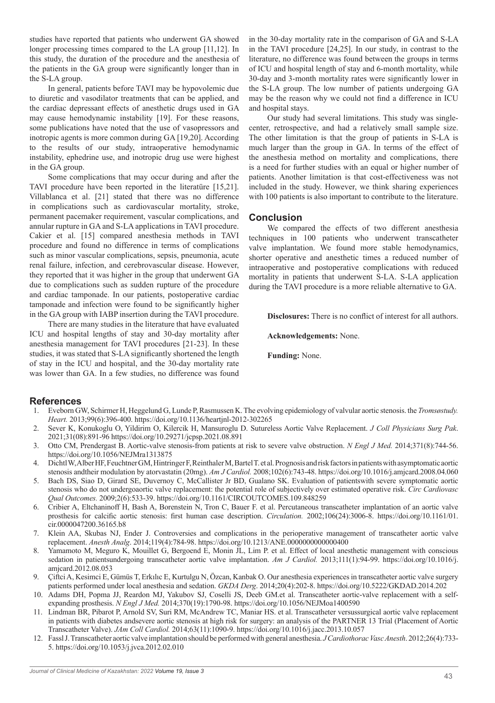studies have reported that patients who underwent GA showed longer processing times compared to the LA group [11,12]. In this study, the duration of the procedure and the anesthesia of the patients in the GA group were significantly longer than in the S-LA group.

In general, patients before TAVI may be hypovolemic due to diuretic and vasodilator treatments that can be applied, and the cardiac depressant effects of anesthetic drugs used in GA may cause hemodynamic instability [19]. For these reasons, some publications have noted that the use of vasopressors and inotropic agents is more common during GA [19,20]. According to the results of our study, intraoperative hemodynamic instability, ephedrine use, and inotropic drug use were highest in the GA group.

Some complications that may occur during and after the TAVI procedure have been reported in the literatüre [15,21]. Villablanca et al. [21] stated that there was no difference in complications such as cardiovascular mortality, stroke, permanent pacemaker requirement, vascular complications, and annular rupture in GA and S-LA applications in TAVI procedure. Cakier et al. [15] compared anesthesia methods in TAVI procedure and found no difference in terms of complications such as minor vascular complications, sepsis, pneumonia, acute renal failure, infection, and cerebrovascular disease. However, they reported that it was higher in the group that underwent GA due to complications such as sudden rupture of the procedure and cardiac tamponade. In our patients, postoperative cardiac tamponade and infection were found to be significantly higher in the GA group with IABP insertion during the TAVI procedure.

There are many studies in the literature that have evaluated ICU and hospital lengths of stay and 30-day mortality after anesthesia management for TAVI procedures [21-23]. In these studies, it was stated that S-LA significantly shortened the length of stay in the ICU and hospital, and the 30-day mortality rate was lower than GA. In a few studies, no difference was found

in the 30-day mortality rate in the comparison of GA and S-LA in the TAVI procedure [24,25]. In our study, in contrast to the literature, no difference was found between the groups in terms of ICU and hospital length of stay and 6-month mortality, while 30-day and 3-month mortality rates were significantly lower in the S-LA group. The low number of patients undergoing GA may be the reason why we could not find a difference in ICU and hospital stays.

Our study had several limitations. This study was singlecenter, retrospective, and had a relatively small sample size. The other limitation is that the group of patients in S-LA is much larger than the group in GA. In terms of the effect of the anesthesia method on mortality and complications, there is a need for further studies with an equal or higher number of patients. Another limitation is that cost-effectiveness was not included in the study. However, we think sharing experiences with 100 patients is also important to contribute to the literature.

## **Conclusion**

We compared the effects of two different anesthesia techniques in 100 patients who underwent transcatheter valve implantation. We found more stable hemodynamics, shorter operative and anesthetic times a reduced number of intraoperative and postoperative complications with reduced mortality in patients that underwent S-LA. S-LA application during the TAVI procedure is a more reliable alternative to GA.

**Disclosures:** There is no conflict of interest for all authors.

**Acknowledgements:** None.

**Funding:** None.

## **References**

- 1. Eveborn GW, Schirmer H, Heggelund G, Lunde P, Rasmussen K. The evolving epidemiology of valvular aortic stenosis. the *Tromsøstudy. Heart.* 2013;99(6):396-400. https://doi.org/10.1136/heartjnl-2012-302265
- 2. Sever K, Konukoglu O, Yildirim O, Kilercik H, Mansuroglu D. Sutureless Aortic Valve Replacement. *J Coll Physicians Surg Pak*. 2021;31(08):891-96 https://doi.org/10.29271/jcpsp.2021.08.891
- 3. Otto CM, Prendergast B. Aortic-valve stenosis-from patients at risk to severe valve obstruction. *N Engl J Med.* 2014;371(8):744-56. https://doi.org/10.1056/NEJMra1313875
- 4. Dichtl W, Alber HF, Feuchtner GM, Hintringer F, Reinthaler M, Bartel T. et al. Prognosis and risk factors in patients with asymptomatic aortic stenosis andtheir modulation by atorvastatin (20mg). *Am J Cardiol.* 2008;102(6):743-48. https://doi.org/10.1016/j.amjcard.2008.04.060
- 5. Bach DS, Siao D, Girard SE, Duvernoy C, McCallister Jr BD, Gualano SK. Evaluation of patientswith severe symptomatic aortic stenosis who do not undergoaortic valve replacement: the potential role of subjectively over estimated operative risk. *Circ Cardiovasc Qual Outcomes.* 2009;2(6):533-39. https://doi.org/10.1161/CIRCOUTCOMES.109.848259
- 6. Cribier A, Eltchaninoff H, Bash A, Borenstein N, Tron C, Bauer F. et al. Percutaneous transcatheter implantation of an aortic valve prosthesis for calcific aortic stenosis: first human case description. *Circulation.* 2002;106(24):3006-8. https://doi.org/10.1161/01. cir.0000047200.36165.b8
- 7. Klein AA, Skubas NJ, Ender J. Controversies and complications in the perioperative management of transcatheter aortic valve replacement. *Anesth Analg*. 2014;119(4):784-98. https://doi.org/10.1213/ANE.0000000000000400
- 8. Yamamoto M, Meguro K, Mouillet G, Bergoend E, Monin JL, Lim P. et al. Effect of local anesthetic management with conscious sedation in patientsundergoing transcatheter aortic valve implantation. *Am J Cardiol.* 2013;111(1):94-99. https://doi.org/10.1016/j. amjcard.2012.08.053
- 9. Çiftci A, Kesimci E, Gümüs T, Erkılıc E, Kurtulgu N, Özcan, Kanbak O. Our anesthesia experiences in transcatheter aortic valve surgery patients performed under local anesthesia and sedation. *GKDA Derg*. 2014;20(4):202-8. https://doi.org/10.5222/GKDAD.2014.202
- 10. Adams DH, Popma JJ, Reardon MJ, Yakubov SJ, Coselli JS, Deeb GM.et al. Transcatheter aortic-valve replacement with a selfexpanding prosthesis. *N Engl J Med.* 2014;370(19):1790-98. https://doi.org/10.1056/NEJMoa1400590
- 11. Lindman BR, Pibarot P, Arnold SV, Suri RM, McAndrew TC, Maniar HS. et al. Transcatheter versussurgical aortic valve replacement in patients with diabetes andsevere aortic stenosis at high risk for surgery: an analysis of the PARTNER 13 Trial (Placement of Aortic Transcatheter Valve). *JAm Coll Cardiol.* 2014;63(11):1090-9. https://doi.org/10.1016/j.jacc.2013.10.057
- 12. Fassl J. Transcatheter aortic valve implantation should be performed with general anesthesia. *J Cardiothorac Vasc Anesth*. 2012;26(4):733- 5. https://doi.org/10.1053/j.jvca.2012.02.010